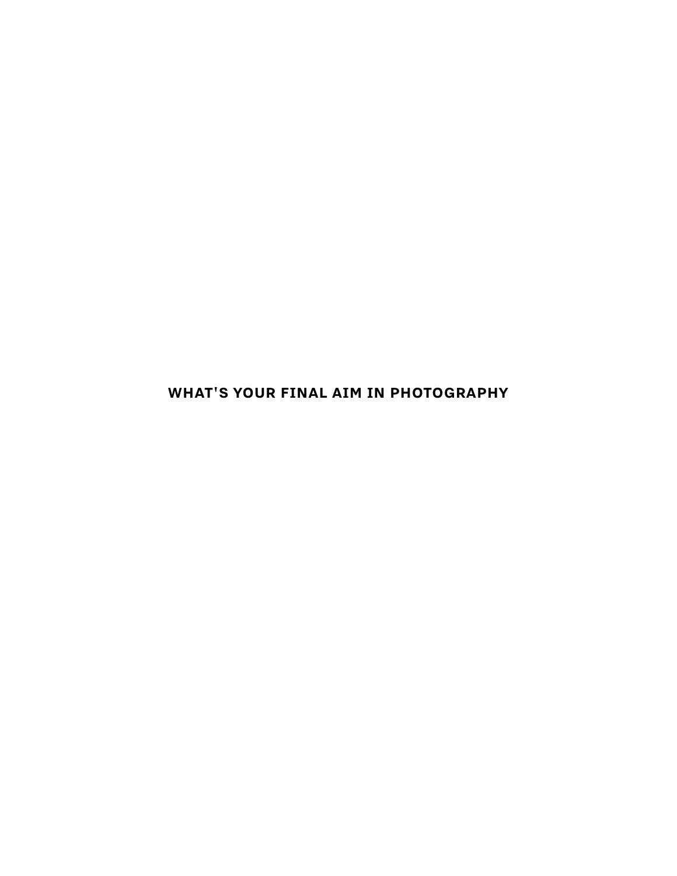**WHAT'S YOUR FINAL AIM IN PHOTOGRAPHY**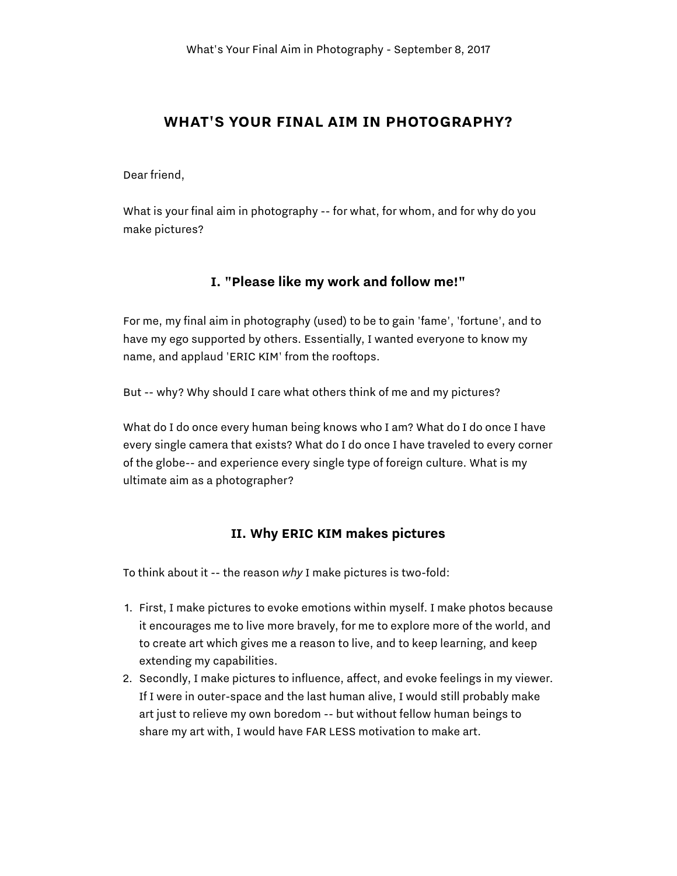### **WHAT'S YOUR FINAL AIM IN PHOTOGRAPHY?**

Dear friend,

What is your final aim in photography -- for what, for whom, and for why do you make pictures?

#### **I. "Please like my work and follow me!"**

For me, my final aim in photography (used) to be to gain 'fame', 'fortune', and to have my ego supported by others. Essentially, I wanted everyone to know my name, and applaud 'ERIC KIM' from the rooftops.

But -- why? Why should I care what others think of me and my pictures?

What do I do once every human being knows who I am? What do I do once I have every single camera that exists? What do I do once I have traveled to every corner of the globe-- and experience every single type of foreign culture. What is my ultimate aim as a photographer?

### **II. Why ERIC KIM makes pictures**

To think about it -- the reason *why* I make pictures is two-fold:

- 1. First, I make pictures to evoke emotions within myself. I make photos because it encourages me to live more bravely, for me to explore more of the world, and to create art which gives me a reason to live, and to keep learning, and keep extending my capabilities.
- 2. Secondly, I make pictures to influence, affect, and evoke feelings in my viewer. If I were in outer-space and the last human alive, I would still probably make art just to relieve my own boredom -- but without fellow human beings to share my art with, I would have FAR LESS motivation to make art.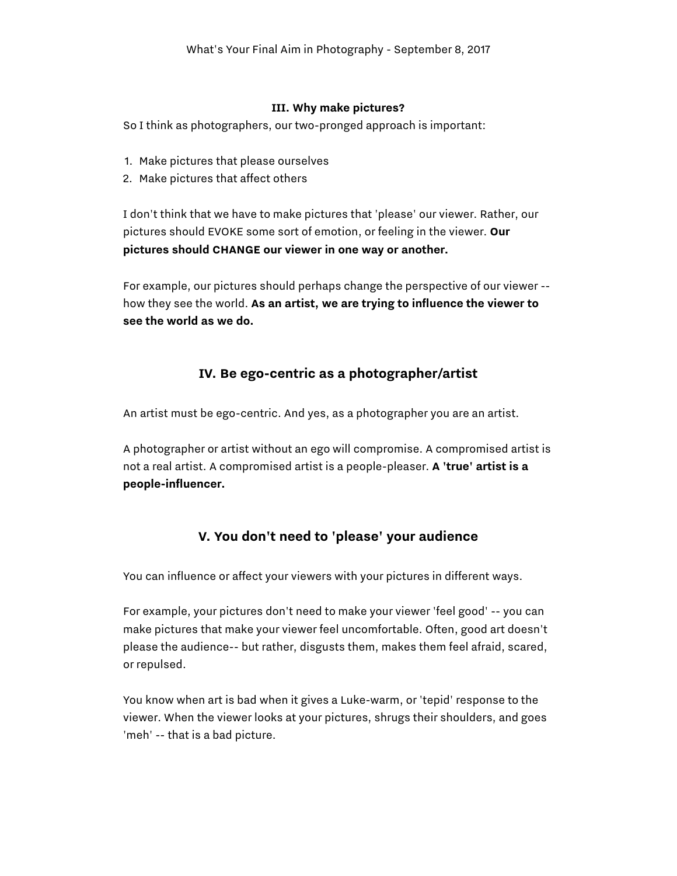#### **III. Why make pictures?**

So I think as photographers, our two-pronged approach is important:

- 1. Make pictures that please ourselves
- 2. Make pictures that affect others

I don't think that we have to make pictures that 'please' our viewer. Rather, our pictures should EVOKE some sort of emotion, or feeling in the viewer. **Our pictures should CHANGE our viewer in one way or another.**

For example, our pictures should perhaps change the perspective of our viewer - how they see the world. **As an artist, we are trying to influence the viewer to see the world as we do.**

### **IV. Be ego-centric as a photographer/artist**

An artist must be ego-centric. And yes, as a photographer you are an artist.

A photographer or artist without an ego will compromise. A compromised artist is not a real artist. A compromised artist is a people-pleaser. **A 'true' artist is a people-influencer.**

# **V. You don't need to 'please' your audience**

You can influence or affect your viewers with your pictures in different ways.

For example, your pictures don't need to make your viewer 'feel good' -- you can make pictures that make your viewer feel uncomfortable. Often, good art doesn't please the audience-- but rather, disgusts them, makes them feel afraid, scared, or repulsed.

You know when art is bad when it gives a Luke-warm, or 'tepid' response to the viewer. When the viewer looks at your pictures, shrugs their shoulders, and goes 'meh' -- that is a bad picture.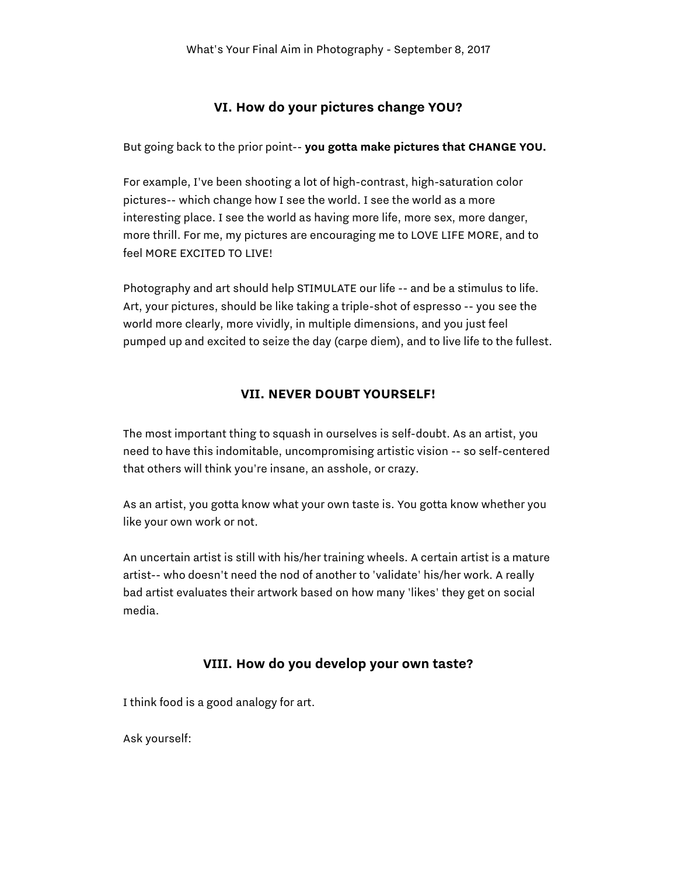### **VI. How do your pictures change YOU?**

But going back to the prior point-- **you gotta make pictures that CHANGE YOU.**

For example, I've been shooting a lot of high-contrast, high-saturation color pictures-- which change how I see the world. I see the world as a more interesting place. I see the world as having more life, more sex, more danger, more thrill. For me, my pictures are encouraging me to LOVE LIFE MORE, and to feel MORE EXCITED TO LIVE!

Photography and art should help STIMULATE our life -- and be a stimulus to life. Art, your pictures, should be like taking a triple-shot of espresso -- you see the world more clearly, more vividly, in multiple dimensions, and you just feel pumped up and excited to seize the day (carpe diem), and to live life to the fullest.

#### **VII. NEVER DOUBT YOURSELF!**

The most important thing to squash in ourselves is self-doubt. As an artist, you need to have this indomitable, uncompromising artistic vision -- so self-centered that others will think you're insane, an asshole, or crazy.

As an artist, you gotta know what your own taste is. You gotta know whether you like your own work or not.

An uncertain artist is still with his/her training wheels. A certain artist is a mature artist-- who doesn't need the nod of another to 'validate' his/her work. A really bad artist evaluates their artwork based on how many 'likes' they get on social media.

### **VIII. How do you develop your own taste?**

I think food is a good analogy for art.

Ask yourself: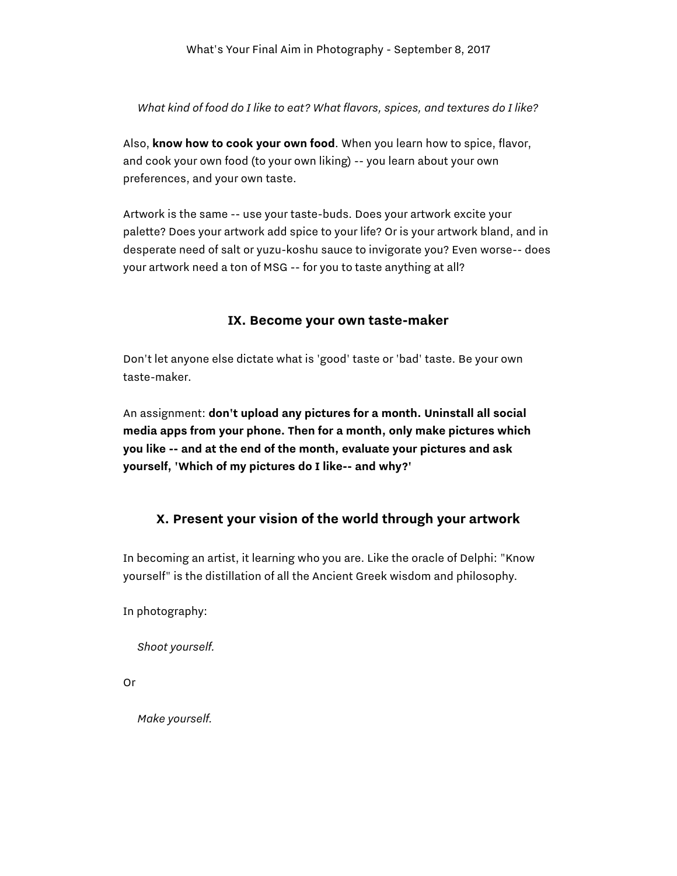*What kind of food do I like to eat? What flavors, spices, and textures do I like?*

Also, **know how to cook your own food**. When you learn how to spice, flavor, and cook your own food (to your own liking) -- you learn about your own preferences, and your own taste.

Artwork is the same -- use your taste-buds. Does your artwork excite your palette? Does your artwork add spice to your life? Or is your artwork bland, and in desperate need of salt or yuzu-koshu sauce to invigorate you? Even worse-- does your artwork need a ton of MSG -- for you to taste anything at all?

### **IX. Become your own taste-maker**

Don't let anyone else dictate what is 'good' taste or 'bad' taste. Be your own taste-maker.

An assignment: **don't upload any pictures for a month. Uninstall all social media apps from your phone. Then for a month, only make pictures which you like -- and at the end of the month, evaluate your pictures and ask yourself, 'Which of my pictures do I like-- and why?'**

# **X. Present your vision of the world through your artwork**

In becoming an artist, it learning who you are. Like the oracle of Delphi: "Know yourself" is the distillation of all the Ancient Greek wisdom and philosophy.

In photography:

*Shoot yourself.*

Or

*Make yourself.*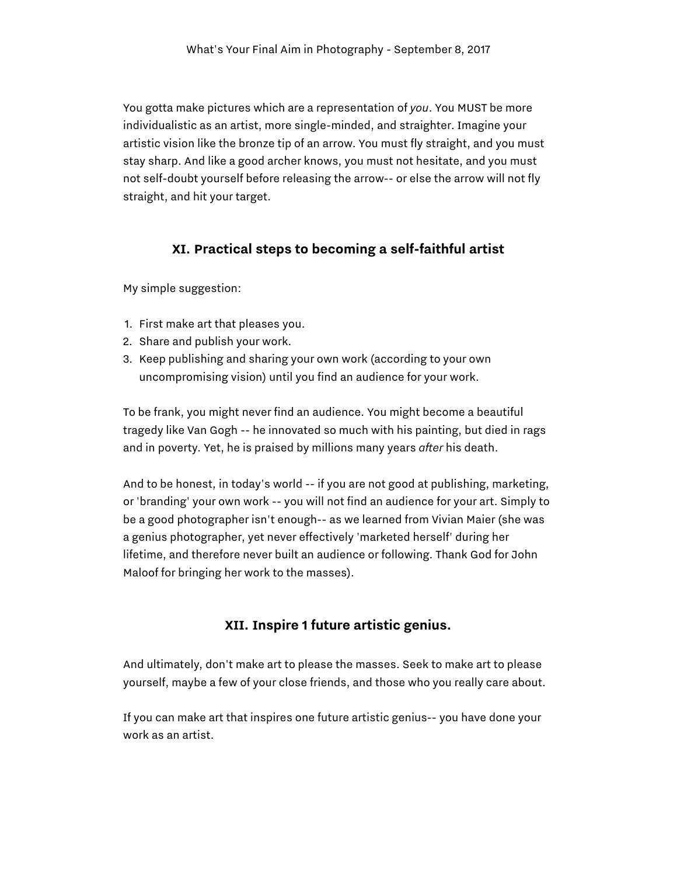You gotta make pictures which are a representation of *you*. You MUST be more individualistic as an artist, more single-minded, and straighter. Imagine your artistic vision like the bronze tip of an arrow. You must fly straight, and you must stay sharp. And like a good archer knows, you must not hesitate, and you must not self-doubt yourself before releasing the arrow-- or else the arrow will not fly straight, and hit your target.

# **XI. Practical steps to becoming a self-faithful artist**

My simple suggestion:

- 1. First make art that pleases you.
- 2. Share and publish your work.
- 3. Keep publishing and sharing your own work (according to your own uncompromising vision) until you find an audience for your work.

To be frank, you might never find an audience. You might become a beautiful tragedy like Van Gogh -- he innovated so much with his painting, but died in rags and in poverty. Yet, he is praised by millions many years *after* his death.

And to be honest, in today's world -- if you are not good at publishing, marketing, or 'branding' your own work -- you will not find an audience for your art. Simply to be a good photographer isn't enough-- as we learned from Vivian Maier (she was a genius photographer, yet never effectively 'marketed herself' during her lifetime, and therefore never built an audience or following. Thank God for John Maloof for bringing her work to the masses).

# **XII. Inspire 1 future artistic genius.**

And ultimately, don't make art to please the masses. Seek to make art to please yourself, maybe a few of your close friends, and those who you really care about.

If you can make art that inspires one future artistic genius-- you have done your work as an artist.